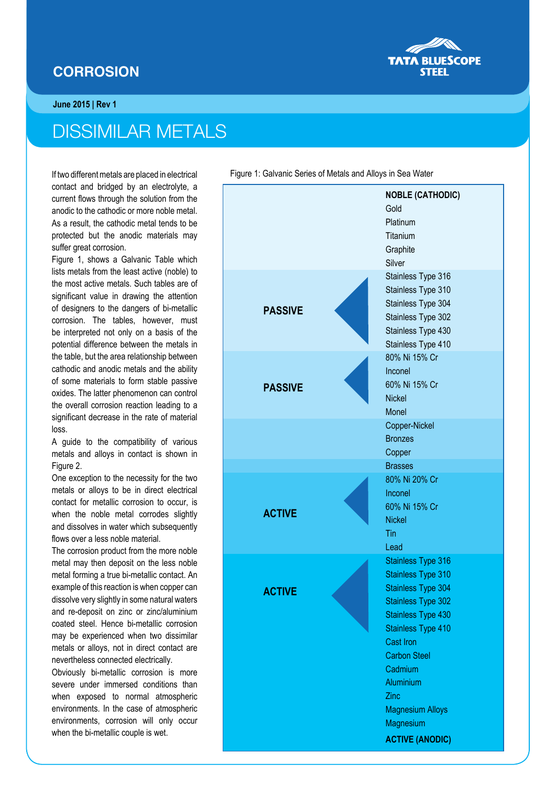## **CORROSION**



## DISSIMILAR METALS

If two different metals are placed in electrical contact and bridged by an electrolyte, a current flows through the solution from the anodic to the cathodic or more noble metal. As a result, the cathodic metal tends to be protected but the anodic materials may suffer great corrosion.

Figure 1, shows a Galvanic Table which lists metals from the least active (noble) to the most active metals. Such tables are of significant value in drawing the attention of designers to the dangers of bi-metallic corrosion. The tables, however, must be interpreted not only on a basis of the potential difference between the metals in the table, but the area relationship between cathodic and anodic metals and the ability of some materials to form stable passive oxides. The latter phenomenon can control the overall corrosion reaction leading to a significant decrease in the rate of material loss.

A guide to the compatibility of various metals and alloys in contact is shown in Figure 2.

One exception to the necessity for the two metals or alloys to be in direct electrical contact for metallic corrosion to occur, is when the noble metal corrodes slightly and dissolves in water which subsequently flows over a less noble material.

The corrosion product from the more noble metal may then deposit on the less noble metal forming a true bi-metallic contact. An example of this reaction is when copper can dissolve very slightly in some natural waters and re-deposit on zinc or zinc/aluminium coated steel. Hence bi-metallic corrosion may be experienced when two dissimilar metals or alloys, not in direct contact are nevertheless connected electrically.

Obviously bi-metallic corrosion is more severe under immersed conditions than when exposed to normal atmospheric environments. In the case of atmospheric environments, corrosion will only occur when the bi-metallic couple is wet.

Figure 1: Galvanic Series of Metals and Alloys in Sea Water